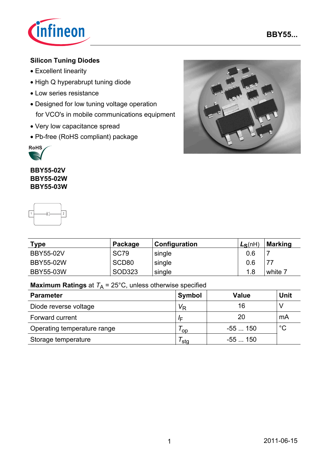

## **Silicon Tuning Diodes**

- Excellent linearity
- High Q hyperabrupt tuning diode
- Low series resistance
- Designed for low tuning voltage operation for VCO's in mobile communications equipment
- Very low capacitance spread
- Pb-free (RoHS compliant) package



**BBY55-02V BBY55-02W BBY55-03W**

-

 $\sqrt{2}$ 



| Type             | Package           | Configuration | $L_S(nH)$ | <b>Marking</b> |
|------------------|-------------------|---------------|-----------|----------------|
| <b>BBY55-02V</b> | <b>SC79</b>       | single        | 0.6       |                |
| <b>BBY55-02W</b> | SCD <sub>80</sub> | single        | 0.6       | 77             |
| <b>BBY55-03W</b> | SOD323            | single        | 1.8       | white 7        |

## **Maximum Ratings** at  $T_A = 25^{\circ}$ C, unless otherwise specified

| <b>Parameter</b>            | Symbol         | <b>Value</b> | <b>Unit</b> |
|-----------------------------|----------------|--------------|-------------|
| Diode reverse voltage       | V <sub>R</sub> | 16           |             |
| Forward current             | /⊏             | 20           | mA          |
| Operating temperature range | <b>OD</b>      | $-55150$     | $^{\circ}C$ |
| Storage temperature         | ˈstɑ           | -55  150     |             |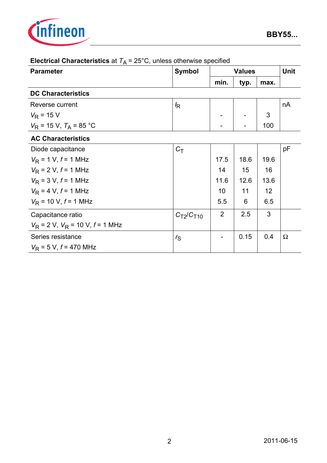

| <b>Parameter</b>                       | <b>Symbol</b>    | <b>Values</b> |      |      | <b>Unit</b> |
|----------------------------------------|------------------|---------------|------|------|-------------|
|                                        |                  | min.          | typ. | max. |             |
| <b>DC Characteristics</b>              |                  |               |      |      |             |
| Reverse current                        | $I_{\mathsf{R}}$ |               |      |      | nA          |
| $V_{\rm R}$ = 15 V                     |                  |               |      | 3    |             |
| $V_R$ = 15 V, $T_A$ = 85 °C            |                  |               |      | 100  |             |
| <b>AC Characteristics</b>              |                  |               |      |      |             |
| Diode capacitance                      | $C_T$            |               |      |      | pF          |
| $V_{\rm R}$ = 1 V, f = 1 MHz           |                  | 17.5          | 18.6 | 19.6 |             |
| $V_{\rm R}$ = 2 V, $f$ = 1 MHz         |                  | 14            | 15   | 16   |             |
| $V_{\rm R}$ = 3 V, $f$ = 1 MHz         |                  | 11.6          | 12.6 | 13.6 |             |
| $V_{\rm R}$ = 4 V, $f$ = 1 MHz         |                  | 10            | 11   | 12   |             |
| $V_{\rm R}$ = 10 V, $f$ = 1 MHz        |                  | 5.5           | 6    | 6.5  |             |
| Capacitance ratio                      | $C_{T2}/C_{T10}$ | 2             | 2.5  | 3    |             |
| $V_R$ = 2 V, $V_R$ = 10 V, $f$ = 1 MHz |                  |               |      |      |             |
| Series resistance                      | $r_{\rm S}$      |               | 0.15 | 0.4  | Ω           |
| $V_{\rm R}$ = 5 V, f = 470 MHz         |                  |               |      |      |             |

# **Electrical Characteristics** at  $T_A = 25^\circ \text{C}$ , unless otherwise specified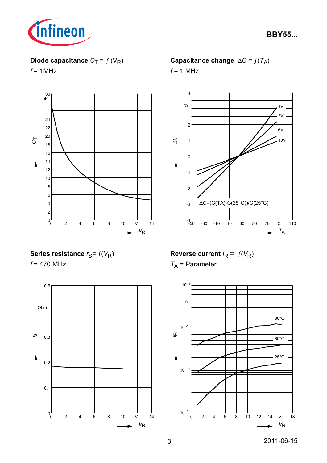

## **Diode capacitance**  $C_T = f(V_R)$

 $f = 1$ MHz



## **Capacitance change**  $\Delta C = f(T_A)$

 $f = 1$  MHz



**Series resistance**  $r_S = f(V_R)$ 

*f* = 470 MHz



**Reverse current**  $I_R = f(V_R)$ *T*A = Parameter

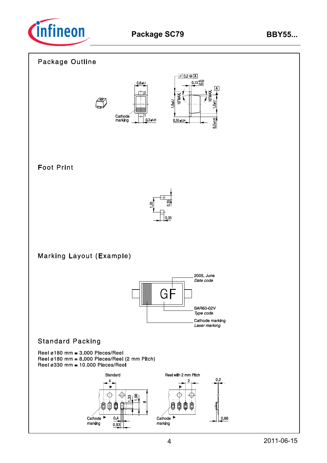

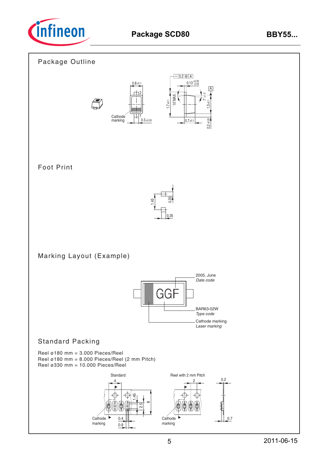

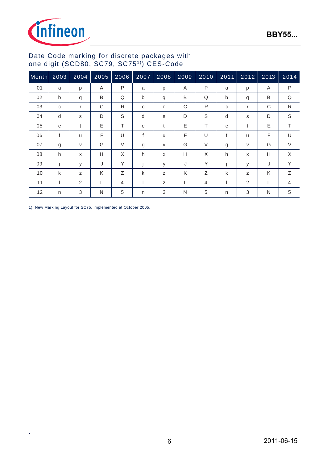

### Date Code marking for discrete packages with one digit (SCD80, SC79, SC751)) CES-Code

| Month | 2003 | 2004   | 2005 | 2006   | 2007 | 2008 | 2009 | 2010   | $2011$ | 2012                      | 2013 | 2014         |
|-------|------|--------|------|--------|------|------|------|--------|--------|---------------------------|------|--------------|
| 01    | a    | p      | Α    | P      | a    | p    | Α    | P      | a      | p                         | Α    | P            |
| 02    | b    | q      | B    | Q      | b    | q    | B    | Q      | b      | q                         | B    | Q            |
| 03    | C    | r      | C    | R.     | C    | r    | C    | R      | C      | $\mathsf{r}$              | С    | $\mathsf{R}$ |
| 04    | d    | s      | D    | S      | d    | s    | D    | S      | d      | s                         | D    | $\mathbb S$  |
| 05    | e    | t      | Ε    | T      | e    | t    | E    | т      | e      | t                         | Ε    | Τ            |
| 06    | f    | u      | F    | U      | f    | u    | F    | U      | f      | u                         | F    | U            |
| 07    | g    | $\vee$ | G    | $\vee$ | g    | V    | G    | $\vee$ | g      | $\vee$                    | G    | $\vee$       |
| 08    | h    | X      | Н    | X      | h    | X    | Н    | X      | h      | $\boldsymbol{\mathsf{x}}$ | н    | X            |
| 09    |      | у      | J    | Y      |      | У    | J    | Υ      |        | у                         | J    | Y            |
| 10    | k    | Z      | Κ    | Ζ      | k    | Z    | K    | Ζ      | k      | Z                         | K    | Ζ            |
| 11    |      | 2      | L    | 4      |      | 2    | L    | 4      |        | 2                         |      | 4            |
| 12    | n    | 3      | N    | 5      | n    | 3    | N    | 5      | n      | 3                         | N    | $\,$ 5 $\,$  |

1) New Marking Layout for SC75, implemented at October 2005.

.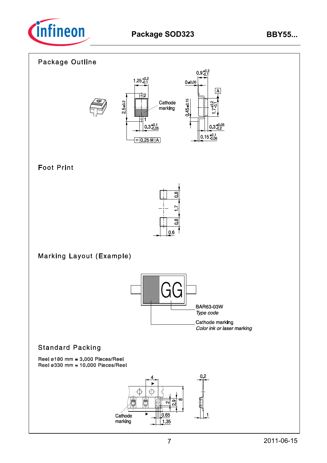